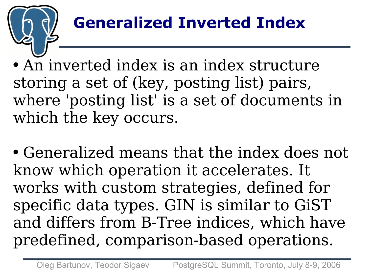# **Generalized Inverted Index**

• An inverted index is an index structure storing a set of (key, posting list) pairs, where 'posting list' is a set of documents in which the key occurs.

• Generalized means that the index does not know which operation it accelerates. It works with custom strategies, defined for specific data types. GIN is similar to GiST and differs from B-Tree indices, which have predefined, comparison-based operations.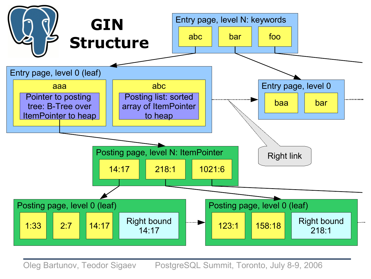

Oleg Bartunov, Teodor Sigaev PostgreSQL Summit, Toronto, July 8-9, 2006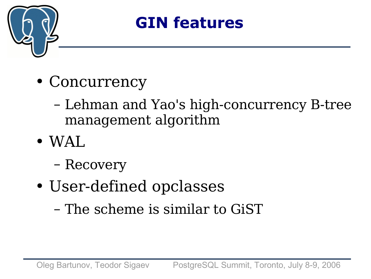

### **GIN features**

- Concurrency
	- Lehman and Yao's high-concurrency B-tree management algorithm
- $\bullet$  WAL.
	- Recovery
- User-defined opclasses
	- The scheme is similar to GiST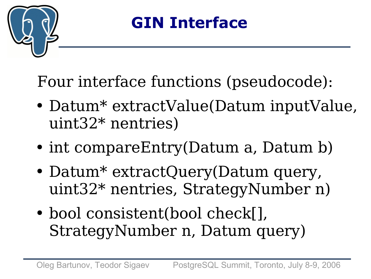

## **GIN Interface**

Four interface functions (pseudocode):

- Datum\* extractValue(Datum inputValue, uint32\* nentries)
- int compareEntry(Datum a, Datum b)
- Datum\* extractQuery(Datum query, uint32\* nentries, StrategyNumber n)
- bool consistent(bool check[], StrategyNumber n, Datum query)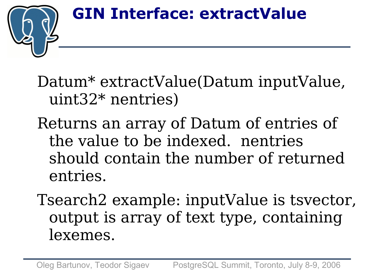#### **GIN Interface: extractValue**



Datum\* extractValue(Datum inputValue, uint32\* nentries)

- Returns an array of Datum of entries of the value to be indexed. nentries should contain the number of returned entries.
- Tsearch2 example: inputValue is tsvector, output is array of text type, containing lexemes.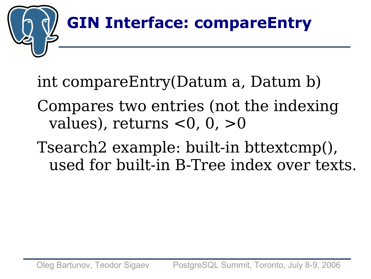

int compareEntry(Datum a, Datum b)

- Compares two entries (not the indexing values), returns  $<$ 0, 0,  $>$ 0
- Tsearch2 example: built-in bttextcmp(), used for built-in B-Tree index over texts.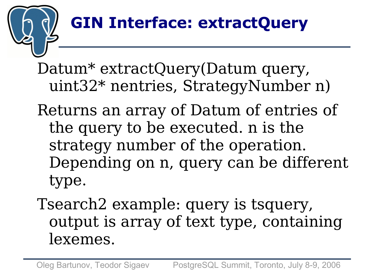# **GIN Interface: extractQuery**

Datum<sup>\*</sup> extractQuery(Datum query, uint32\* nentries, StrategyNumber n)

- Returns an array of Datum of entries of the query to be executed. n is the strategy number of the operation. Depending on n, query can be different type.
- Tsearch2 example: query is tsquery, output is array of text type, containing lexemes.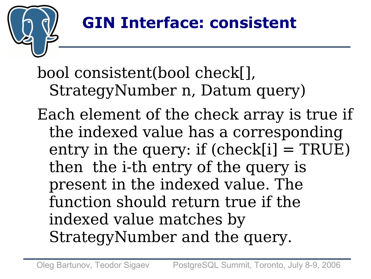

bool consistent(bool check[], StrategyNumber n, Datum query)

Each element of the check array is true if the indexed value has a corresponding entry in the query: if  $(check[i] = TRUE)$ then the i-th entry of the query is present in the indexed value. The function should return true if the indexed value matches by StrategyNumber and the query.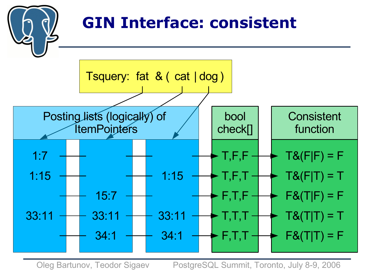

Oleg Bartunov, Teodor Sigaev PostgreSQL Summit, Toronto, July 8-9, 2006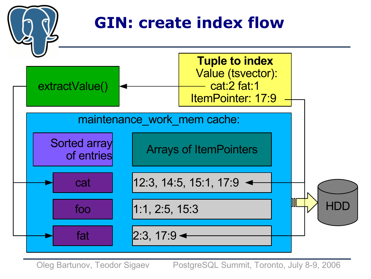

Oleg Bartunov, Teodor Sigaev PostgreSQL Summit, Toronto, July 8-9, 2006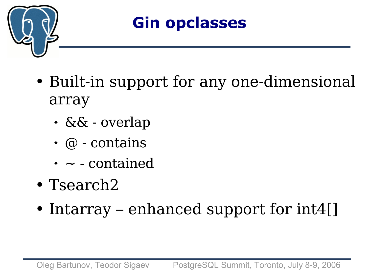

### **Gin opclasses**

- Built-in support for any one-dimensional array
	- && overlap
	- $\cdot$  @ contains
	- $\cdot$   $\sim$  contained
- Tsearch2
- Intarray enhanced support for  $int4$ []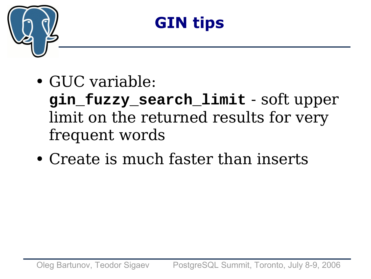

## **GIN tips**

• GUC variable:

**gin\_fuzzy\_search\_limit** - soft upper limit on the returned results for very frequent words

• Create is much faster than inserts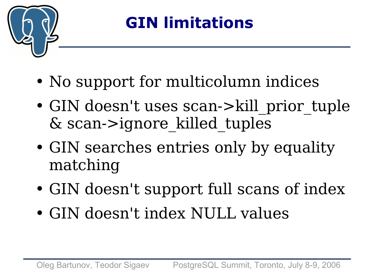

# **GIN limitations**

- No support for multicolumn indices
- GIN doesn't uses scan->kill prior tuple & scan->ignore\_killed\_tuples
- GIN searches entries only by equality matching
- GIN doesn't support full scans of index
- GIN doesn't index NULL values